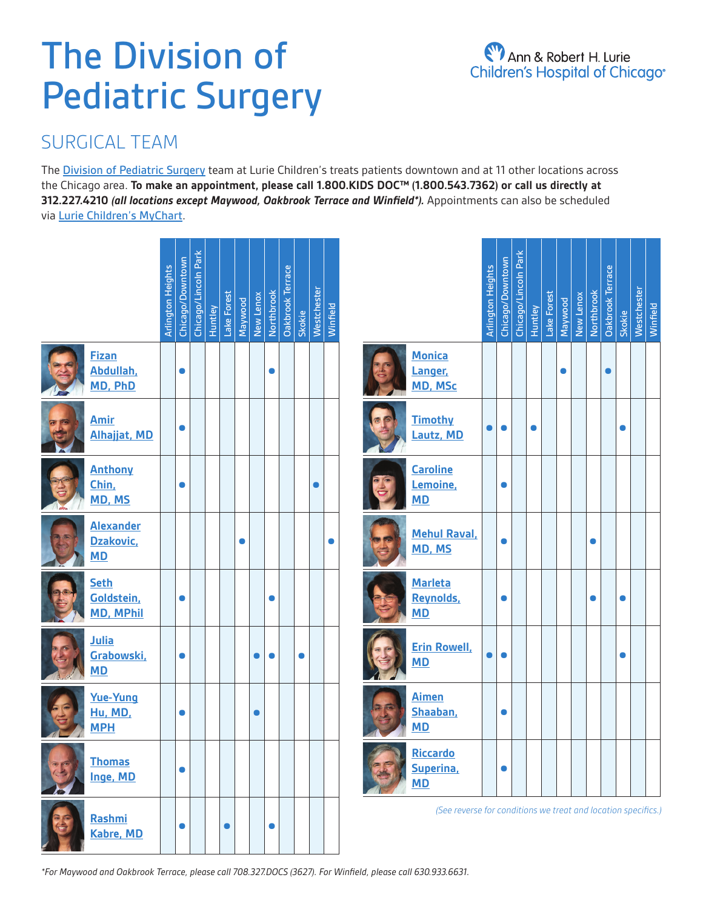# The Division of Pediatric Surgery

# SURGICAL TEAM

The **[Division of Pediatric Surgery](https://www.luriechildrens.org/en/specialties-conditions/pediatric-surgery/)** team at Lurie Children's treats patients downtown and at 11 other locations across the Chicago area. **To make an appointment, please call 1.800.KIDS DOC™ (1.800.543.7362) or call us directly at 312.227.4210** *(all locations except Maywood, Oakbrook Terrace and Winfield\*).* Appointments can also be scheduled via [Lurie Children's MyChart](https://mychart.luriechildrens.org/MyChart/Authentication/Login?%5Fga=2%2E95511838%2E320149469%2E1647352916%2D2029567924%2E1640278156&%5Fgac=1%2E56007769%2E1644512369%2ECj0KCQiAjJOQBhCkARIsAEKMtO0WWnDSSS27tqXdF21Ixw3x6hlEidk%5FtTuT9CKAY973hoaUP69Io0oaAkGxEALw%5FwcB).

|                                               | <b>Arlington Heights</b> | Chicago/Downtown | Chicago/Lincoln Park | Huntley | Lake Forest<br>Maywood | New Lenox | <b>Northbrook</b> | Oakbrook Terrace | Skokie | Westchester | Winfield |
|-----------------------------------------------|--------------------------|------------------|----------------------|---------|------------------------|-----------|-------------------|------------------|--------|-------------|----------|
| <b>Fizan</b><br>Abdullah,<br>MD, PhD          |                          |                  |                      |         |                        |           |                   |                  |        |             |          |
| <b>Amir</b><br><b>Alhajjat, MD</b>            |                          |                  |                      |         |                        |           |                   |                  |        |             |          |
| <b>Anthony</b><br>Chin,<br>MD, MS             |                          |                  |                      |         |                        |           |                   |                  |        |             |          |
| <b>Alexander</b><br>Dzakovic,<br><b>MD</b>    |                          |                  |                      |         |                        |           |                   |                  |        |             |          |
| <b>Seth</b><br>Goldstein,<br><b>MD, MPhil</b> |                          |                  |                      |         |                        |           |                   |                  |        |             |          |
| <b>Julia</b><br>Grabowski,<br><b>MD</b>       |                          |                  |                      |         |                        |           |                   |                  |        |             |          |
| <b>Yue-Yung</b><br>Hu, MD,<br><b>MPH</b>      |                          |                  |                      |         |                        |           |                   |                  |        |             |          |
| <b>Thomas</b><br>Inge, MD                     |                          |                  |                      |         |                        |           |                   |                  |        |             |          |
| Rashmi<br><b>Kabre, MD</b>                    |                          |                  |                      |         |                        |           |                   |                  |        |             |          |

|                                                               |                                          | <b>Arlington Heights</b> | Chicago/Downtown<br>Chicago/Lincoln Park |  | <b>Huntley</b> | Lake Forest | Maywood | New Lenox<br>Northbrook |  | <b>Oakbrook Terrace</b> | Skokie | Westchester | Winfield |
|---------------------------------------------------------------|------------------------------------------|--------------------------|------------------------------------------|--|----------------|-------------|---------|-------------------------|--|-------------------------|--------|-------------|----------|
|                                                               | <b>Monica</b><br>Langer,<br>MD, MSc      |                          |                                          |  |                |             |         |                         |  |                         |        |             |          |
|                                                               | <b>Timothy</b><br>Lautz, MD              |                          |                                          |  |                |             |         |                         |  |                         |        |             |          |
|                                                               | <b>Caroline</b><br>Lemoine,<br><b>MD</b> |                          |                                          |  |                |             |         |                         |  |                         |        |             |          |
|                                                               | <b>Mehul Raval,</b><br>MD, MS            |                          |                                          |  |                |             |         |                         |  |                         |        |             |          |
|                                                               | <b>Marleta</b><br>Reynolds,<br><b>MD</b> |                          |                                          |  |                |             |         |                         |  |                         |        |             |          |
|                                                               | <b>Erin Rowell,</b><br><b>MD</b>         |                          |                                          |  |                |             |         |                         |  |                         |        |             |          |
|                                                               | <b>Aimen</b><br>Shaaban,<br><b>MD</b>    |                          |                                          |  |                |             |         |                         |  |                         |        |             |          |
|                                                               | Riccardo<br>Superina,<br><b>MD</b>       |                          |                                          |  |                |             |         |                         |  |                         |        |             |          |
| (See reverse for conditions we treat and location specifics.) |                                          |                          |                                          |  |                |             |         |                         |  |                         |        |             |          |

*\*For Maywood and Oakbrook Terrace, please call 708.327.DOCS (3627). For Winfield, please call 630.933.6631.*